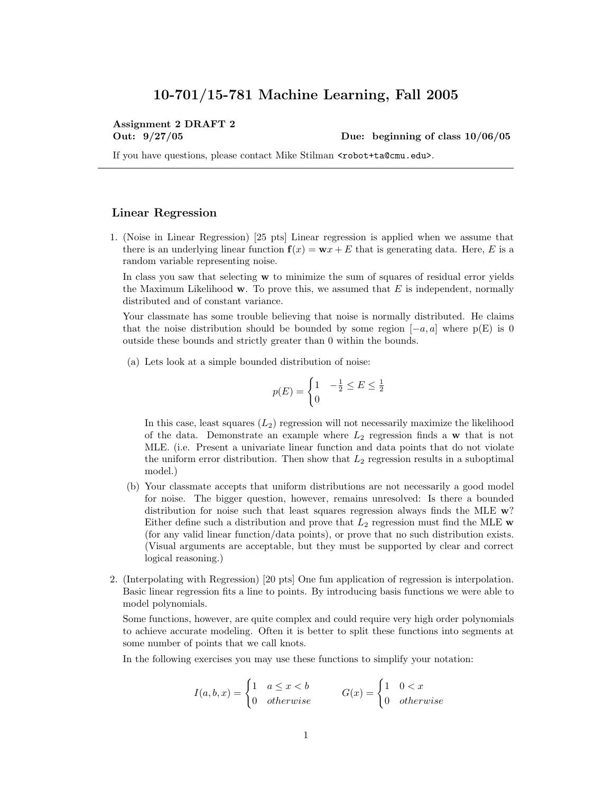## 10-701/15-781 Machine Learning, Fall 2005

# Assignment 2 DRAFT 2

Out: 9/27/05 Due: beginning of class 10/06/05

If you have questions, please contact Mike Stilman <robot+ta@cmu.edu>.

#### Linear Regression

1. (Noise in Linear Regression) [25 pts] Linear regression is applied when we assume that there is an underlying linear function  $f(x) = w x + E$  that is generating data. Here, E is a random variable representing noise.

In class you saw that selecting **w** to minimize the sum of squares of residual error yields the Maximum Likelihood  $\bf{w}$ . To prove this, we assumed that E is independent, normally distributed and of constant variance.

Your classmate has some trouble believing that noise is normally distributed. He claims that the noise distribution should be bounded by some region  $[-a, a]$  where  $p(E)$  is 0 outside these bounds and strictly greater than 0 within the bounds.

(a) Lets look at a simple bounded distribution of noise:

$$
p(E) = \begin{cases} 1 & -\frac{1}{2} \le E \le 0 \\ 0 & \end{cases}
$$

 $\frac{1}{2}$ 

In this case, least squares  $(L_2)$  regression will not necessarily maximize the likelihood of the data. Demonstrate an example where  $L_2$  regression finds a w that is not MLE. (i.e. Present a univariate linear function and data points that do not violate the uniform error distribution. Then show that  $L_2$  regression results in a suboptimal model.)

- (b) Your classmate accepts that uniform distributions are not necessarily a good model for noise. The bigger question, however, remains unresolved: Is there a bounded distribution for noise such that least squares regression always finds the MLE  $w$ ? Either define such a distribution and prove that  $L_2$  regression must find the MLE w (for any valid linear function/data points), or prove that no such distribution exists. (Visual arguments are acceptable, but they must be supported by clear and correct logical reasoning.)
- 2. (Interpolating with Regression) [20 pts] One fun application of regression is interpolation. Basic linear regression fits a line to points. By introducing basis functions we were able to model polynomials.

Some functions, however, are quite complex and could require very high order polynomials to achieve accurate modeling. Often it is better to split these functions into segments at some number of points that we call knots.

In the following exercises you may use these functions to simplify your notation:

$$
I(a, b, x) = \begin{cases} 1 & a \le x < b \\ 0 & otherwise \end{cases} \qquad G(x) = \begin{cases} 1 & 0 < x \\ 0 & otherwise \end{cases}
$$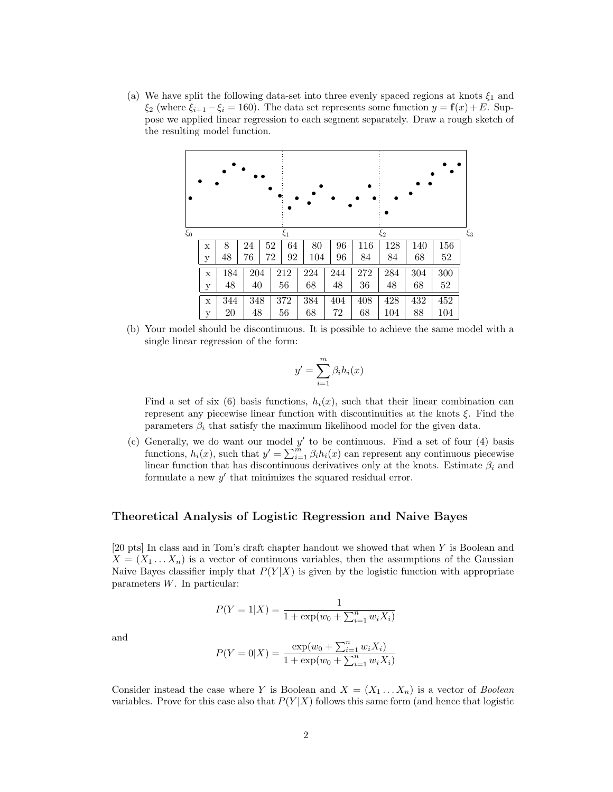(a) We have split the following data-set into three evenly spaced regions at knots  $\xi_1$  and  $\xi_2$  (where  $\xi_{i+1} - \xi_i = 160$ ). The data set represents some function  $y = \mathbf{f}(x) + E$ . Suppose we applied linear regression to each segment separately. Draw a rough sketch of the resulting model function.



(b) Your model should be discontinuous. It is possible to achieve the same model with a single linear regression of the form:

$$
y' = \sum_{i=1}^{m} \beta_i h_i(x)
$$

Find a set of six (6) basis functions,  $h_i(x)$ , such that their linear combination can represent any piecewise linear function with discontinuities at the knots  $\xi$ . Find the parameters  $\beta_i$  that satisfy the maximum likelihood model for the given data.

(c) Generally, we do want our model  $y'$  to be continuous. Find a set of four (4) basis functions,  $h_i(x)$ , such that  $y' = \sum_{i=1}^{m} \beta_i h_i(x)$  can represent any continuous piecewise linear function that has discontinuous derivatives only at the knots. Estimate  $\beta_i$  and formulate a new  $y'$  that minimizes the squared residual error.

### Theoretical Analysis of Logistic Regression and Naive Bayes

[20 pts] In class and in Tom's draft chapter handout we showed that when Y is Boolean and  $X = (X_1 \dots X_n)$  is a vector of continuous variables, then the assumptions of the Gaussian Naive Bayes classifier imply that  $P(Y|X)$  is given by the logistic function with appropriate parameters W. In particular:

$$
P(Y = 1|X) = \frac{1}{1 + \exp(w_0 + \sum_{i=1}^{n} w_i X_i)}
$$

and

$$
P(Y = 0|X) = \frac{\exp(w_0 + \sum_{i=1}^n w_i X_i)}{1 + \exp(w_0 + \sum_{i=1}^n w_i X_i)}
$$

Consider instead the case where Y is Boolean and  $X = (X_1 \dots X_n)$  is a vector of *Boolean* variables. Prove for this case also that  $P(Y|X)$  follows this same form (and hence that logistic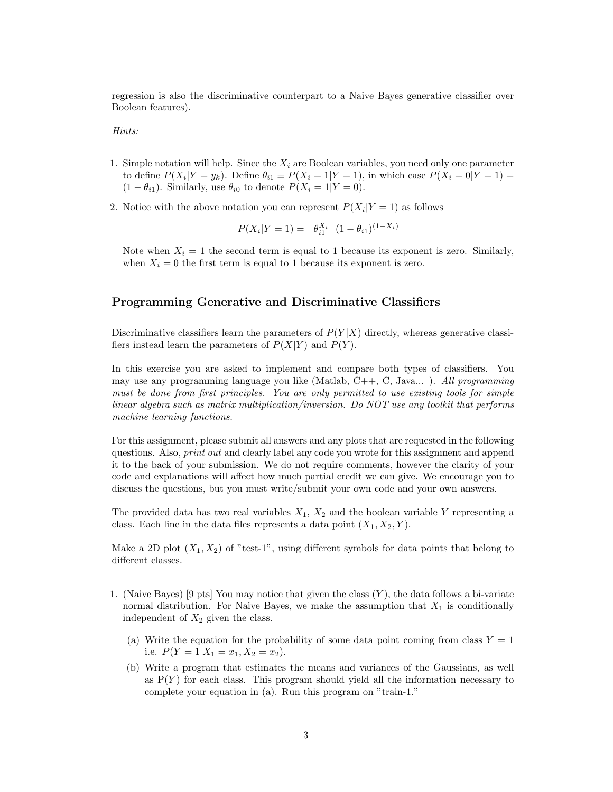regression is also the discriminative counterpart to a Naive Bayes generative classifier over Boolean features).

#### Hints:

- 1. Simple notation will help. Since the  $X_i$  are Boolean variables, you need only one parameter to define  $P(X_i|Y=y_k)$ . Define  $\theta_{i1} \equiv P(X_i=1|Y=1)$ , in which case  $P(X_i=0|Y=1)$  $(1 - \theta_{i1})$ . Similarly, use  $\theta_{i0}$  to denote  $P(X_i = 1 | Y = 0)$ .
- 2. Notice with the above notation you can represent  $P(X_i|Y=1)$  as follows

$$
P(X_i|Y=1) = \theta_{i1}^{X_i} (1 - \theta_{i1})^{(1 - X_i)}
$$

Note when  $X_i = 1$  the second term is equal to 1 because its exponent is zero. Similarly, when  $X_i = 0$  the first term is equal to 1 because its exponent is zero.

#### Programming Generative and Discriminative Classifiers

Discriminative classifiers learn the parameters of  $P(Y|X)$  directly, whereas generative classifiers instead learn the parameters of  $P(X|Y)$  and  $P(Y)$ .

In this exercise you are asked to implement and compare both types of classifiers. You may use any programming language you like (Matlab,  $C++, C, Java...$ ). All programming must be done from first principles. You are only permitted to use existing tools for simple linear algebra such as matrix multiplication/inversion. Do NOT use any toolkit that performs machine learning functions.

For this assignment, please submit all answers and any plots that are requested in the following questions. Also, *print out* and clearly label any code you wrote for this assignment and append it to the back of your submission. We do not require comments, however the clarity of your code and explanations will affect how much partial credit we can give. We encourage you to discuss the questions, but you must write/submit your own code and your own answers.

The provided data has two real variables  $X_1, X_2$  and the boolean variable Y representing a class. Each line in the data files represents a data point  $(X_1, X_2, Y)$ .

Make a 2D plot  $(X_1, X_2)$  of "test-1", using different symbols for data points that belong to different classes.

- 1. (Naive Bayes) [9 pts] You may notice that given the class  $(Y)$ , the data follows a bi-variate normal distribution. For Naive Bayes, we make the assumption that  $X_1$  is conditionally independent of  $X_2$  given the class.
	- (a) Write the equation for the probability of some data point coming from class  $Y = 1$ i.e.  $P(Y = 1 | X_1 = x_1, X_2 = x_2).$
	- (b) Write a program that estimates the means and variances of the Gaussians, as well as  $P(Y)$  for each class. This program should yield all the information necessary to complete your equation in (a). Run this program on "train-1."